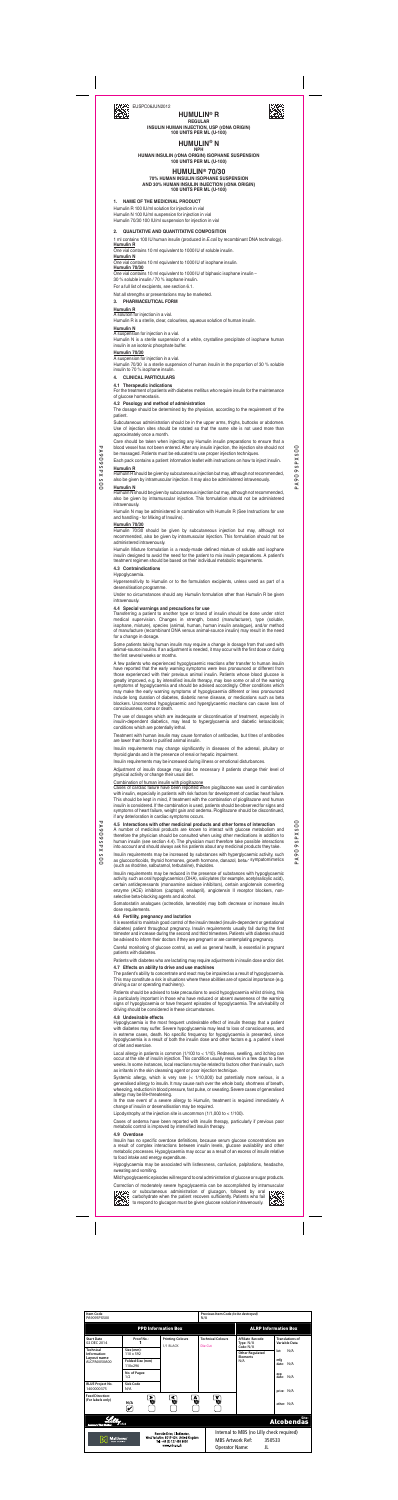PA909SPXS00

**PA909SPXS00** 

 $\alpha$ 

PA909SPXS00

PA909SPXS0C

nously



# **HUMULIN® R REGULAR**



# **INSULIN HUMAN INJECTION, USP (rDNA ORIGIN) 100 UNITS PER ML (U-100)**

# **HUMULIN® N**

**NPH HUMAN INSULIN (rDNA ORIGIN) ISOPHANE SUSPENSION 100 UNITS PER ML (U-100)**

## **HUMULIN® 70/30**

## **70% HUMAN INSULIN ISOPHANE SUSPENSION AND 30% HUMAN INSULIN INJECTION (rDNA ORIGIN) 100 UNITS PER ML (U-100)**

## **1. NAME OF THE MEDICINAL PRODUCT**

Humulin R 100 IU/ml solution for injection in vial Humulin N 100 IU/ml suspension for injection in vial Humulin 70/30 100 IU/ml suspension for injection in vial

#### **2. QUALITATIVE AND QUANTITATIVE COMPOSITION**

1 ml contains 100 IU human insulin (produced in *E.coli* by recombinant DNA technology). **Humulin R**

One vial contains 10 ml equivalent to 1000 IU of soluble insulin.

**Humulin N** One vial contains 10 ml equivalent to 1000 IU of isophane insulin.

For the treatment of patients with diabetes mellitus who require insulin for the maintenance of glucose homeost

**Humulin 70/30**

One vial contains 10 ml equivalent to 1000 IU of biphasic isophane insulin – 30 % soluble insulin / 70 % isophane insulin.

For a full list of excipients, see section 6.1.

Not all strengths or presentations may be marketed.

## **3. PHARMACEUTICAL FORM**

**Humulin R**

#### A solution for injection in a vial.

Humulin R is a sterile, clear, colourless, aqueous solution of human insulin.

## **Humulin N**

A suspension for injection in a vial.

Humulin N is a sterile suspension of a white, crystalline precipitate of isophane human insulin in an isotonic phosphate buffer.

## **Humulin 70/30**

A suspension for injection in a vial.

Humulin 70/30 is a sterile suspension of human insulin in the proportion of 30 % soluble insulin to 70 % isophane insulin.

# **4. CLINICAL PARTICULARS**

#### **4.1 Therapeutic indications**

## **4.2 Posology and method of administration**

The dosage should be determined by the physician, according to the requirement of the patient.

Transferring a patient to another type or brand of insulin should be done under strict medical supervision. Changes in strength, brand (manufacturer), type (soluble, isophane, mixture), species (animal, human, human insulin analogue), and/or method of manufacture (recombinant DNA versus animal-source insulin) may result in the need for a change in dosage.

Subcutaneous administration should be in the upper arms, thighs, buttocks or abdomen. Use of injection sites should be rotated so that the same site is not used more than approximately once a month.

Care should be taken when injecting any Humulin insulin preparations to ensure that a blood vessel has not been entered. After any insulin injection, the injection site should not be massaged. Patients must be educated to use proper injection techniques.

Each pack contains a patient information leaflet with instructions on how to inject insulin.

# **Humulin R**

Humulin R should be given by subcutaneous injection but may, although not recommended, also be given by intramuscular injection. It may also be administered intravenously.

## **Humulin N**

Humulin N should be given by subcutaneous injection but may, although not recommended, also be given by intramuscular injection. This formulation should not be administered intravenously.

Humulin N may be administered in combination with Humulin R (See Instructions for use and handling - for Mixing of Insulins).

## **Humulin 70/30**

Humulin 70/30 should be given by subcutaneous injection but may, although not recommended, also be given by intramuscular injection. This formulation should not be administered intravenously.

Humulin Mixture formulation is a ready-made defined mixture of soluble and isophane insulin designed to avoid the need for the patient to mix insulin preparations. A patient's treatment regimen should be based on their individual metabolic requirements.

# **4.3 Contraindications**

Hypoglycaemia.

Hypersensitivity to Humulin or to the formulation excipients, unless used as part of a desensitisation programme.

Under no circumstances should any Humulin formulation other than Humulin R be given

## **4.4 Special warnings and precautions for use**

Careful monitoring of glucose control, as well as general health, is essential in pregnant patients with diabetes

Some patients taking human insulin may require a change in dosage from that used with animal-source insulins. If an adjustment is needed, it may occur with the first dose or during the first several weeks or months.

A few patients who experienced hypoglycaemic reactions after transfer to human insulin have reported that the early warning symptoms were less pronounced or different from those experienced with their previous animal insulin. Patients whose blood glucose is greatly improved, e.g. by intensified insulin therapy, may lose some or all of the warning symptoms of hypoglycaemia and should be advised accordingly. Other conditions which may make the early warning symptoms of hypoglycaemia different or less pronounced include long duration of diabetes, diabetic nerve disease, or medications such as beta blockers. Uncorrected hypoglycaemic and hyperglycaemic reactions can cause loss of consciousness, coma or death.

The use of dosages which are inadequate or discontinuation of treatment, especially in insulin-dependent diabetics, may lead to hyperglycaemia and diabetic ketoacidosis; conditions which are potentially lethal.

Treatment with human insulin may cause formation of antibodies, but titres of antibodies are lower than those to purified animal insulin.

to respond to glucagon must be given glucose solution intravenously. 163.CX

| Item Code<br>PA909SPXS00                                        |                             |                                                                                                                         | Previous Item Code (to be destroyed)<br>N/A                                                                   |                                                  |                                         |  |  |
|-----------------------------------------------------------------|-----------------------------|-------------------------------------------------------------------------------------------------------------------------|---------------------------------------------------------------------------------------------------------------|--------------------------------------------------|-----------------------------------------|--|--|
|                                                                 | <b>PPD Information Box</b>  |                                                                                                                         | <b>ALRP Information Box</b>                                                                                   |                                                  |                                         |  |  |
| <b>Start Date</b><br>02 DEC 2014                                | Proof No.:                  | <b>Printing Colours</b><br>1/1 BLACK                                                                                    | <b>Technical Colours</b><br>Die Cut                                                                           | Affiliate Barcode:<br>Type: N/A<br>Code: N/A     | <b>Translations of</b><br>Variable Data |  |  |
| <b>Technical</b><br>Information:<br>Layout name<br>ALCPA0050A00 | Size (mm):<br>110 x 592     |                                                                                                                         |                                                                                                               | <b>Other Regulated</b><br><b>Elements</b><br>N/A | N/A<br>lot:                             |  |  |
|                                                                 | Folded Size (mm)<br>110x296 |                                                                                                                         |                                                                                                               |                                                  | mfq<br>N/A<br>date:                     |  |  |
|                                                                 | No. of Pages:<br>1/2        |                                                                                                                         |                                                                                                               |                                                  | exp<br>date: N/A                        |  |  |
| <b>BLUE Project No.</b><br>1400000375                           | Sick Code<br>N/A            |                                                                                                                         |                                                                                                               |                                                  | price: N/A                              |  |  |
| <b>Feed Direction:</b><br>(For labels only)                     | Þ<br>Ø.<br>N/A<br>V         | A<br>⋖<br>ь<br>o                                                                                                        | A<br>Ø,                                                                                                       |                                                  | other: N/A                              |  |  |
| Site:<br><b>Alcobendas</b><br>v5.0<br>Answers That Matter.      |                             |                                                                                                                         |                                                                                                               |                                                  |                                         |  |  |
| Matthews<br>RAND SOLUTIONS                                      |                             | Riverside Drive. Cleckheaton.<br>West Yorkshire, BD19 4DH, United Kingdom<br>Tel: +44 (0) 127 484 8000<br>www.mbs.co.uk | Internal to MBS (no Lilly check required)<br><b>MBS Artwork Ref:</b><br>350533<br><b>Operator Name:</b><br>JL |                                                  |                                         |  |  |

Insulin requirements may change significantly in diseases of the adrenal, pituitary or thyroid glands and in the presence of renal or hepatic impairment.

Insulin requirements may be increased during illness or emotional disturbances.

Adjustment of insulin dosage may also be necessary if patients change their level of physical activity or change their usual diet.

Combination of human insulin with pioglitazone

Cases of cardiac failure have been reported when pioglitazone was used in combination with insulin, especially in patients with risk factors for development of cardiac heart failure. This should be kept in mind, if treatment with the combination of pioglitazone and human insulin is considered. If the combination is used, patients should be observed for signs and symptoms of heart failure, weight gain and oedema. Pioglitazone should be discontinued, if any deterioration in cardiac symptoms occurs.

#### **4.5 Interactions with other medicinal products and other forms of interaction**

᠊ᢦ PA909SPXS00 **N909SPX300** 

A number of medicinal products are known to interact with glucose metabolism and therefore the physician should be consulted when using other medications in addition to human insulin (see section 4.4). The physician must therefore take possible interactions into account and should always ask his patients about any medicinal products they take.

Insulin requirements may be increased by substances with hyperglycaemic activity, such as glucocorticoids, thyroid hormones, growth hormone, danazol, beta $_2$ - sympatomimetics (such as ritodrine, salbutamol, terbutaline), thiazides.

Insulin requirements may be reduced in the presence of substances with hypoglycaemic activity, such as oral hypoglycaemics (OHA), salicylates (for example, acetylsalicylic acid), certain antidepressants (monoamine oxidase inhibitors), certain angiotensin converting enzyme (ACE) inhibitors (captopril, enalapril), angiotensin II receptor blockers, nonselective beta-blocking agents and alcohol.

Somatostatin analogues (octreotide, lanreotide) may both decrease or increase insulin dose requirements.

## **4.6 Fertility, pregnancy and lactation**

It is essential to maintain good control of the insulin treated (insulin-dependent or gestational diabetes) patient throughout pregnancy. Insulin requirements usually fall during the first trimester and increase during the second and third trimesters. Patients with diabetes should be advised to inform their doctors if they are pregnant or are contemplating pregnancy.

Patients with diabetes who are lactating may require adjustments in insulin dose and/or diet.

# **4.7 Effects on ability to drive and use machines**

The patient's ability to concentrate and react may be impaired as a result of hypoglycaemia. This may constitute a risk in situations where these abilities are of special importance (e.g. driving a car or operating machinery).

Patients should be advised to take precautions to avoid hypoglycaemia whilst driving, this is particularly important in those who have reduced or absent awareness of the warning signs of hypoglycaemia or have frequent episodes of hypoglycaemia. The advisability of driving should be considered in these circumstances.

## **4.8 Undesirable effects**

Hypoglycaemia is the most frequent undesirable effect of insulin therapy that a patient with diabetes may suffer. Severe hypoglycaemia may lead to loss of consciousness, and in extreme cases, death. No specific frequency for hypoglycaemia is presented, since hypoglycaemia is a result of both the insulin dose and other factors e.g. a patient`s level of diet and exercise.

Local allergy in patients is common (1/100 to < 1/10). Redness, swelling, and itching can occur at the site of insulin injection. This condition usually resolves in a few days to a few weeks. In some instances, local reactions may be related to factors other than insulin, such as irritants in the skin cleansing agent or poor injection technique.

Systemic allergy, which is very rare (< 1/10,000) but potentially more serious, is a generalised allergy to insulin. It may cause rash over the whole body, shortness of breath, wheezing, reduction in blood pressure, fast pulse, or sweating. Severe cases of generalised allergy may be life-threatening.

In the rare event of a severe allergy to Humulin, treatment is required immediately. A change of insulin or desensitisation may be required.

Lipodystrophy at the injection site is uncommon (1/1,000 to < 1/100).

Cases of oedema have been reported with insulin therapy, particularly if previous poor metabolic control is improved by intensified insulin therapy.

#### **4.9 Overdose**

Insulin has no specific overdose definitions, because serum glucose concentrations are a result of complex interactions between insulin levels, glucose availability and other metabolic processes. Hypoglycaemia may occur as a result of an excess of insulin relative to food intake and energy expenditure.

Hypoglycaemia may be associated with listlessness, confusion, palpitations, headache, sweating and vomiting.

Mild hypoglycaemic episodes will respond to oral administration of glucose or sugar products.

Correction of moderately severe hypoglycaemia can be accomplished by intramuscular **Page** or subcutaneous administration of glucagon, followed by oral